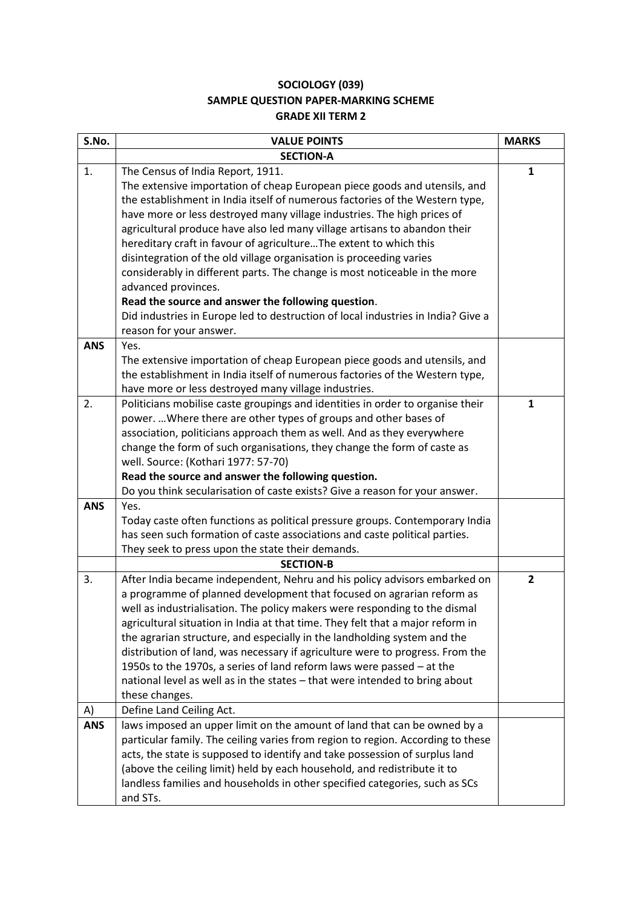## **SOCIOLOGY (039) SAMPLE QUESTION PAPER-MARKING SCHEME GRADE XII TERM 2**

| S.No.      | <b>VALUE POINTS</b>                                                                                                                                                                                                                                                                                                                                                                                                                                                                                                                                                                                                                                           | <b>MARKS</b>   |
|------------|---------------------------------------------------------------------------------------------------------------------------------------------------------------------------------------------------------------------------------------------------------------------------------------------------------------------------------------------------------------------------------------------------------------------------------------------------------------------------------------------------------------------------------------------------------------------------------------------------------------------------------------------------------------|----------------|
|            | <b>SECTION-A</b>                                                                                                                                                                                                                                                                                                                                                                                                                                                                                                                                                                                                                                              |                |
| 1.         | The Census of India Report, 1911.<br>The extensive importation of cheap European piece goods and utensils, and<br>the establishment in India itself of numerous factories of the Western type,<br>have more or less destroyed many village industries. The high prices of<br>agricultural produce have also led many village artisans to abandon their<br>hereditary craft in favour of agricultureThe extent to which this<br>disintegration of the old village organisation is proceeding varies<br>considerably in different parts. The change is most noticeable in the more<br>advanced provinces.<br>Read the source and answer the following question. | $\mathbf{1}$   |
|            | Did industries in Europe led to destruction of local industries in India? Give a<br>reason for your answer.                                                                                                                                                                                                                                                                                                                                                                                                                                                                                                                                                   |                |
| <b>ANS</b> | Yes.<br>The extensive importation of cheap European piece goods and utensils, and<br>the establishment in India itself of numerous factories of the Western type,<br>have more or less destroyed many village industries.                                                                                                                                                                                                                                                                                                                                                                                                                                     |                |
| 2.         | Politicians mobilise caste groupings and identities in order to organise their<br>power.  Where there are other types of groups and other bases of<br>association, politicians approach them as well. And as they everywhere<br>change the form of such organisations, they change the form of caste as<br>well. Source: (Kothari 1977: 57-70)<br>Read the source and answer the following question.<br>Do you think secularisation of caste exists? Give a reason for your answer.                                                                                                                                                                           | $\mathbf{1}$   |
| <b>ANS</b> | Yes.<br>Today caste often functions as political pressure groups. Contemporary India<br>has seen such formation of caste associations and caste political parties.<br>They seek to press upon the state their demands.                                                                                                                                                                                                                                                                                                                                                                                                                                        |                |
|            | <b>SECTION-B</b>                                                                                                                                                                                                                                                                                                                                                                                                                                                                                                                                                                                                                                              |                |
| 3.         | After India became independent, Nehru and his policy advisors embarked on<br>a programme of planned development that focused on agrarian reform as<br>well as industrialisation. The policy makers were responding to the dismal<br>agricultural situation in India at that time. They felt that a major reform in<br>the agrarian structure, and especially in the landholding system and the<br>distribution of land, was necessary if agriculture were to progress. From the<br>1950s to the 1970s, a series of land reform laws were passed - at the<br>national level as well as in the states - that were intended to bring about<br>these changes.     | $\overline{2}$ |
| A)         | Define Land Ceiling Act.                                                                                                                                                                                                                                                                                                                                                                                                                                                                                                                                                                                                                                      |                |
| <b>ANS</b> | laws imposed an upper limit on the amount of land that can be owned by a<br>particular family. The ceiling varies from region to region. According to these<br>acts, the state is supposed to identify and take possession of surplus land<br>(above the ceiling limit) held by each household, and redistribute it to<br>landless families and households in other specified categories, such as SCs<br>and STs.                                                                                                                                                                                                                                             |                |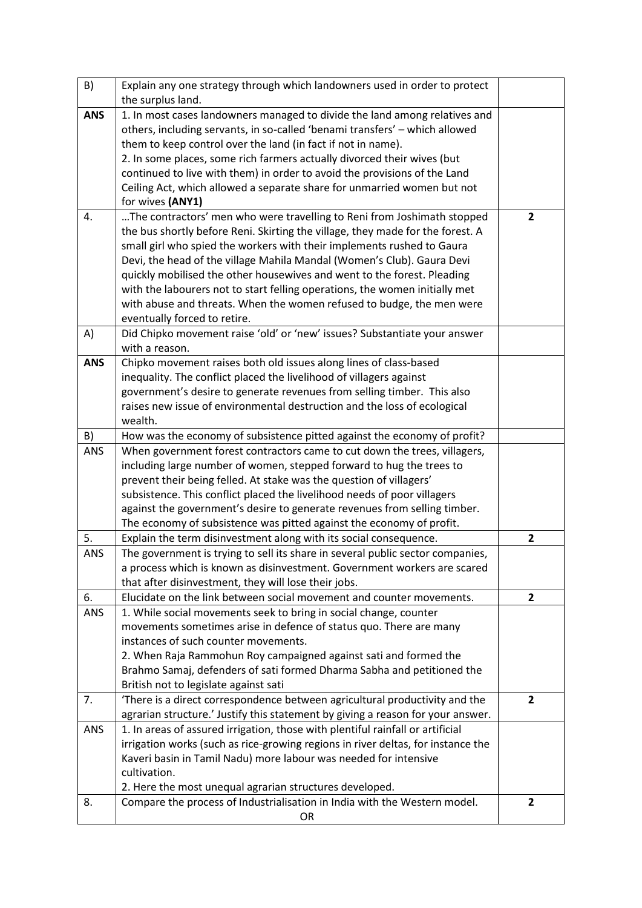| B)         | Explain any one strategy through which landowners used in order to protect       |                |
|------------|----------------------------------------------------------------------------------|----------------|
|            | the surplus land.                                                                |                |
| <b>ANS</b> | 1. In most cases landowners managed to divide the land among relatives and       |                |
|            | others, including servants, in so-called 'benami transfers' - which allowed      |                |
|            | them to keep control over the land (in fact if not in name).                     |                |
|            | 2. In some places, some rich farmers actually divorced their wives (but          |                |
|            | continued to live with them) in order to avoid the provisions of the Land        |                |
|            | Ceiling Act, which allowed a separate share for unmarried women but not          |                |
|            | for wives (ANY1)                                                                 |                |
| 4.         | The contractors' men who were travelling to Reni from Joshimath stopped          | $\overline{2}$ |
|            | the bus shortly before Reni. Skirting the village, they made for the forest. A   |                |
|            | small girl who spied the workers with their implements rushed to Gaura           |                |
|            | Devi, the head of the village Mahila Mandal (Women's Club). Gaura Devi           |                |
|            | quickly mobilised the other housewives and went to the forest. Pleading          |                |
|            | with the labourers not to start felling operations, the women initially met      |                |
|            | with abuse and threats. When the women refused to budge, the men were            |                |
|            | eventually forced to retire.                                                     |                |
| A)         | Did Chipko movement raise 'old' or 'new' issues? Substantiate your answer        |                |
|            | with a reason.                                                                   |                |
| <b>ANS</b> | Chipko movement raises both old issues along lines of class-based                |                |
|            | inequality. The conflict placed the livelihood of villagers against              |                |
|            | government's desire to generate revenues from selling timber. This also          |                |
|            | raises new issue of environmental destruction and the loss of ecological         |                |
|            | wealth.                                                                          |                |
| B)         | How was the economy of subsistence pitted against the economy of profit?         |                |
| <b>ANS</b> | When government forest contractors came to cut down the trees, villagers,        |                |
|            | including large number of women, stepped forward to hug the trees to             |                |
|            | prevent their being felled. At stake was the question of villagers'              |                |
|            | subsistence. This conflict placed the livelihood needs of poor villagers         |                |
|            | against the government's desire to generate revenues from selling timber.        |                |
|            | The economy of subsistence was pitted against the economy of profit.             |                |
| 5.         | Explain the term disinvestment along with its social consequence.                | $\mathbf{2}$   |
| ANS        | The government is trying to sell its share in several public sector companies,   |                |
|            | a process which is known as disinvestment. Government workers are scared         |                |
|            | that after disinvestment, they will lose their jobs.                             |                |
| 6.         | Elucidate on the link between social movement and counter movements.             | $\overline{2}$ |
| ANS        | 1. While social movements seek to bring in social change, counter                |                |
|            | movements sometimes arise in defence of status quo. There are many               |                |
|            | instances of such counter movements.                                             |                |
|            | 2. When Raja Rammohun Roy campaigned against sati and formed the                 |                |
|            | Brahmo Samaj, defenders of sati formed Dharma Sabha and petitioned the           |                |
|            | British not to legislate against sati                                            |                |
| 7.         | 'There is a direct correspondence between agricultural productivity and the      | $\overline{2}$ |
|            | agrarian structure.' Justify this statement by giving a reason for your answer.  |                |
| ANS        | 1. In areas of assured irrigation, those with plentiful rainfall or artificial   |                |
|            | irrigation works (such as rice-growing regions in river deltas, for instance the |                |
|            | Kaveri basin in Tamil Nadu) more labour was needed for intensive                 |                |
|            | cultivation.                                                                     |                |
|            | 2. Here the most unequal agrarian structures developed.                          |                |
| 8.         | Compare the process of Industrialisation in India with the Western model.        | $\overline{2}$ |
|            | <b>OR</b>                                                                        |                |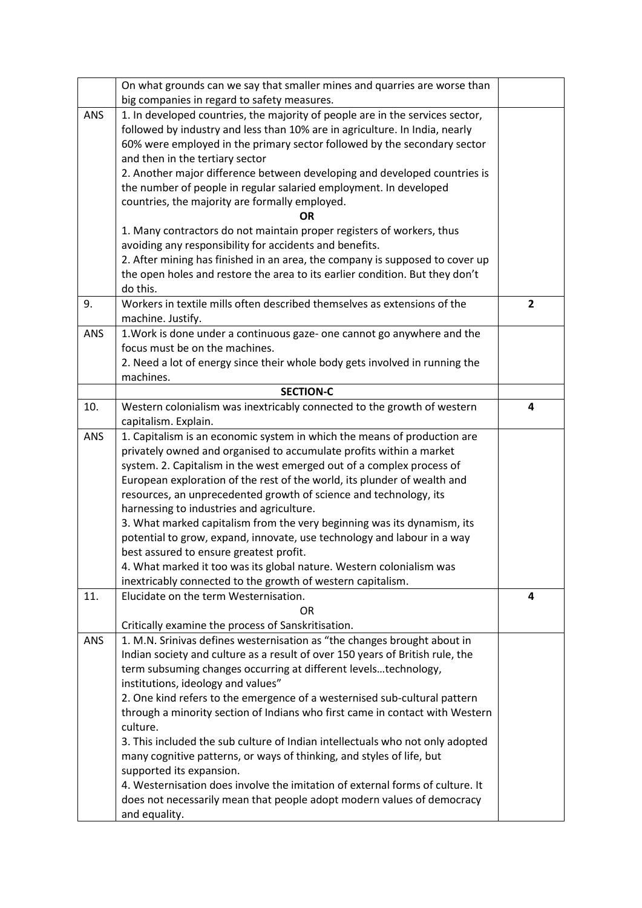|            | On what grounds can we say that smaller mines and quarries are worse than                        |                |
|------------|--------------------------------------------------------------------------------------------------|----------------|
|            | big companies in regard to safety measures.                                                      |                |
| <b>ANS</b> | 1. In developed countries, the majority of people are in the services sector,                    |                |
|            | followed by industry and less than 10% are in agriculture. In India, nearly                      |                |
|            | 60% were employed in the primary sector followed by the secondary sector                         |                |
|            | and then in the tertiary sector                                                                  |                |
|            | 2. Another major difference between developing and developed countries is                        |                |
|            | the number of people in regular salaried employment. In developed                                |                |
|            | countries, the majority are formally employed.                                                   |                |
|            | ΟR                                                                                               |                |
|            | 1. Many contractors do not maintain proper registers of workers, thus                            |                |
|            | avoiding any responsibility for accidents and benefits.                                          |                |
|            | 2. After mining has finished in an area, the company is supposed to cover up                     |                |
|            | the open holes and restore the area to its earlier condition. But they don't                     |                |
|            | do this.                                                                                         |                |
| 9.         | Workers in textile mills often described themselves as extensions of the                         | $\overline{2}$ |
|            | machine. Justify.                                                                                |                |
| ANS        | 1. Work is done under a continuous gaze- one cannot go anywhere and the                          |                |
|            | focus must be on the machines.                                                                   |                |
|            | 2. Need a lot of energy since their whole body gets involved in running the                      |                |
|            | machines.                                                                                        |                |
|            | <b>SECTION-C</b>                                                                                 |                |
| 10.        | Western colonialism was inextricably connected to the growth of western                          | 4              |
| ANS        | capitalism. Explain.<br>1. Capitalism is an economic system in which the means of production are |                |
|            | privately owned and organised to accumulate profits within a market                              |                |
|            | system. 2. Capitalism in the west emerged out of a complex process of                            |                |
|            | European exploration of the rest of the world, its plunder of wealth and                         |                |
|            | resources, an unprecedented growth of science and technology, its                                |                |
|            | harnessing to industries and agriculture.                                                        |                |
|            | 3. What marked capitalism from the very beginning was its dynamism, its                          |                |
|            | potential to grow, expand, innovate, use technology and labour in a way                          |                |
|            | best assured to ensure greatest profit.                                                          |                |
|            | 4. What marked it too was its global nature. Western colonialism was                             |                |
|            | inextricably connected to the growth of western capitalism.                                      |                |
| 11.        | Elucidate on the term Westernisation.                                                            | 4              |
|            | OR                                                                                               |                |
|            | Critically examine the process of Sanskritisation.                                               |                |
| <b>ANS</b> | 1. M.N. Srinivas defines westernisation as "the changes brought about in                         |                |
|            | Indian society and culture as a result of over 150 years of British rule, the                    |                |
|            | term subsuming changes occurring at different levelstechnology,                                  |                |
|            | institutions, ideology and values"                                                               |                |
|            | 2. One kind refers to the emergence of a westernised sub-cultural pattern                        |                |
|            | through a minority section of Indians who first came in contact with Western<br>culture.         |                |
|            | 3. This included the sub culture of Indian intellectuals who not only adopted                    |                |
|            | many cognitive patterns, or ways of thinking, and styles of life, but                            |                |
|            | supported its expansion.                                                                         |                |
|            | 4. Westernisation does involve the imitation of external forms of culture. It                    |                |
|            | does not necessarily mean that people adopt modern values of democracy                           |                |
|            | and equality.                                                                                    |                |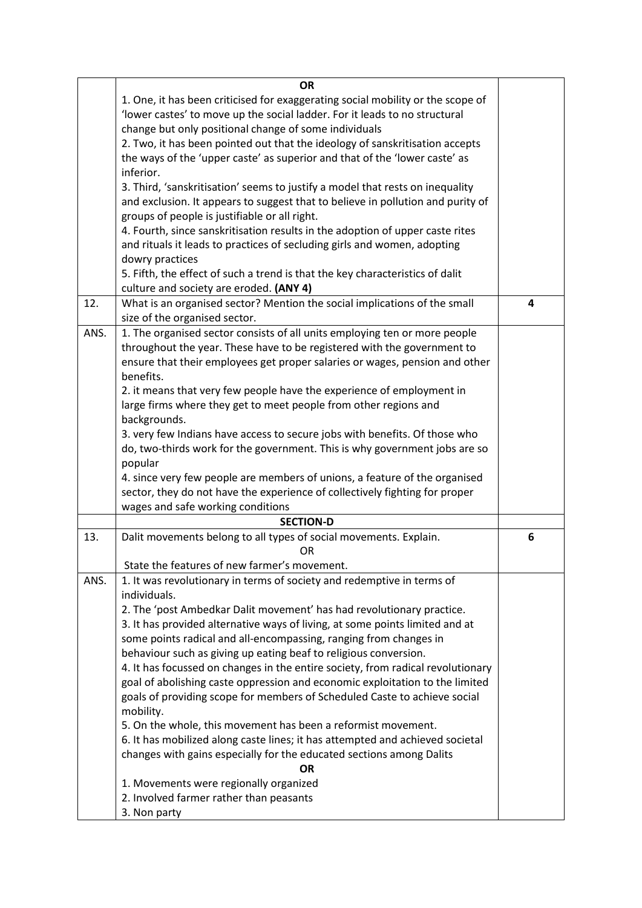|      | <b>OR</b>                                                                       |   |
|------|---------------------------------------------------------------------------------|---|
|      | 1. One, it has been criticised for exaggerating social mobility or the scope of |   |
|      | 'lower castes' to move up the social ladder. For it leads to no structural      |   |
|      | change but only positional change of some individuals                           |   |
|      | 2. Two, it has been pointed out that the ideology of sanskritisation accepts    |   |
|      | the ways of the 'upper caste' as superior and that of the 'lower caste' as      |   |
|      | inferior.                                                                       |   |
|      | 3. Third, 'sanskritisation' seems to justify a model that rests on inequality   |   |
|      | and exclusion. It appears to suggest that to believe in pollution and purity of |   |
|      | groups of people is justifiable or all right.                                   |   |
|      | 4. Fourth, since sanskritisation results in the adoption of upper caste rites   |   |
|      | and rituals it leads to practices of secluding girls and women, adopting        |   |
|      | dowry practices                                                                 |   |
|      | 5. Fifth, the effect of such a trend is that the key characteristics of dalit   |   |
|      | culture and society are eroded. (ANY 4)                                         |   |
| 12.  | What is an organised sector? Mention the social implications of the small       | 4 |
|      | size of the organised sector.                                                   |   |
| ANS. | 1. The organised sector consists of all units employing ten or more people      |   |
|      | throughout the year. These have to be registered with the government to         |   |
|      | ensure that their employees get proper salaries or wages, pension and other     |   |
|      | benefits.                                                                       |   |
|      | 2. it means that very few people have the experience of employment in           |   |
|      | large firms where they get to meet people from other regions and                |   |
|      | backgrounds.                                                                    |   |
|      | 3. very few Indians have access to secure jobs with benefits. Of those who      |   |
|      | do, two-thirds work for the government. This is why government jobs are so      |   |
|      | popular                                                                         |   |
|      | 4. since very few people are members of unions, a feature of the organised      |   |
|      | sector, they do not have the experience of collectively fighting for proper     |   |
|      | wages and safe working conditions                                               |   |
|      | <b>SECTION-D</b>                                                                |   |
| 13.  | Dalit movements belong to all types of social movements. Explain.               | 6 |
|      | OR                                                                              |   |
|      | State the features of new farmer's movement.                                    |   |
| ANS. | 1. It was revolutionary in terms of society and redemptive in terms of          |   |
|      | individuals.                                                                    |   |
|      | 2. The 'post Ambedkar Dalit movement' has had revolutionary practice.           |   |
|      | 3. It has provided alternative ways of living, at some points limited and at    |   |
|      | some points radical and all-encompassing, ranging from changes in               |   |
|      | behaviour such as giving up eating beaf to religious conversion.                |   |
|      | 4. It has focussed on changes in the entire society, from radical revolutionary |   |
|      | goal of abolishing caste oppression and economic exploitation to the limited    |   |
|      | goals of providing scope for members of Scheduled Caste to achieve social       |   |
|      | mobility.                                                                       |   |
|      | 5. On the whole, this movement has been a reformist movement.                   |   |
|      | 6. It has mobilized along caste lines; it has attempted and achieved societal   |   |
|      | changes with gains especially for the educated sections among Dalits            |   |
|      | <b>OR</b>                                                                       |   |
|      | 1. Movements were regionally organized                                          |   |
|      | 2. Involved farmer rather than peasants                                         |   |
|      | 3. Non party                                                                    |   |